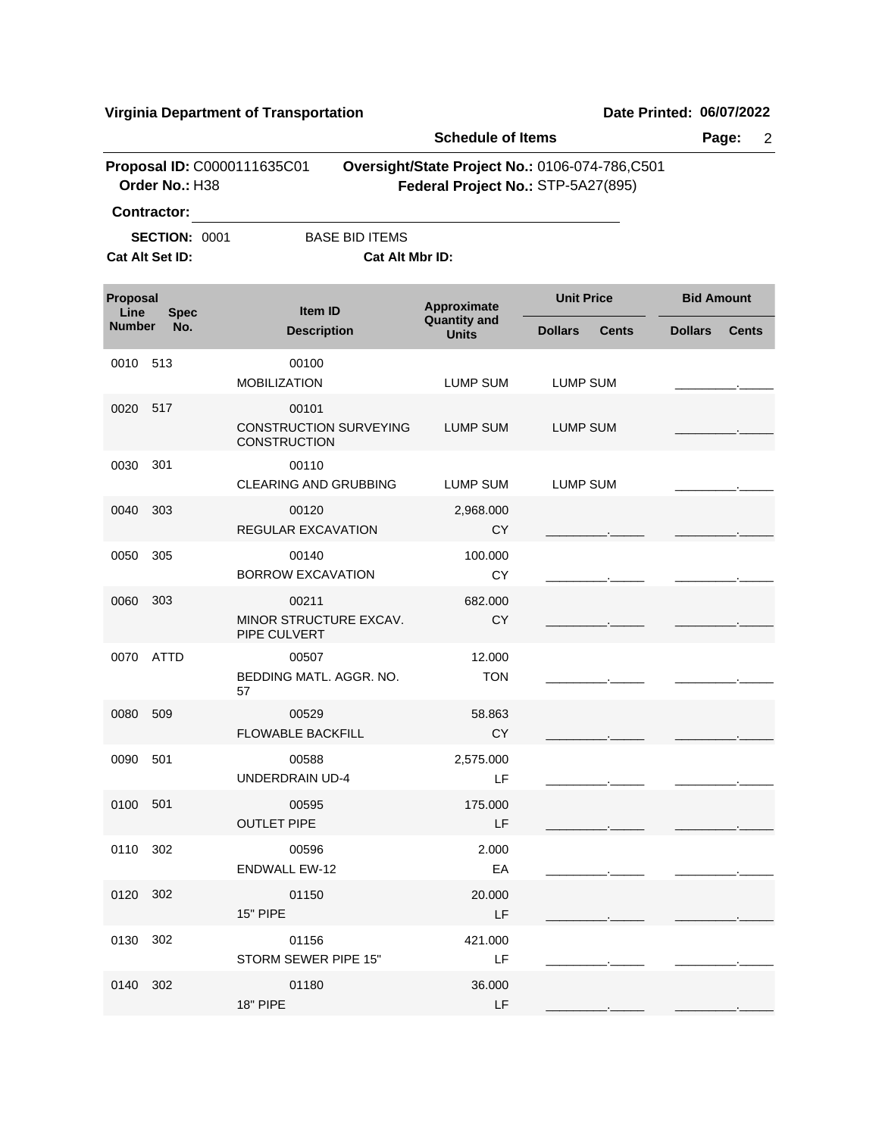|                      |                                                               |                                                               | <b>Schedule of Items</b>           |                                                                                      | Page:<br>$\overline{2}$        |
|----------------------|---------------------------------------------------------------|---------------------------------------------------------------|------------------------------------|--------------------------------------------------------------------------------------|--------------------------------|
|                      | Order No.: H38                                                | Proposal ID: C0000111635C01                                   |                                    | Oversight/State Project No.: 0106-074-786,C501<br>Federal Project No.: STP-5A27(895) |                                |
|                      | <b>Contractor:</b><br><b>SECTION: 0001</b><br>Cat Alt Set ID: | <b>BASE BID ITEMS</b><br>Cat Alt Mbr ID:                      |                                    |                                                                                      |                                |
| Proposal<br>Line     | <b>Spec</b>                                                   | <b>Item ID</b>                                                | Approximate<br><b>Quantity and</b> | <b>Unit Price</b>                                                                    | <b>Bid Amount</b>              |
| <b>Number</b><br>No. |                                                               | <b>Description</b>                                            | <b>Units</b>                       | <b>Dollars</b><br><b>Cents</b>                                                       | <b>Dollars</b><br><b>Cents</b> |
| 0010                 | 513                                                           | 00100<br><b>MOBILIZATION</b>                                  | LUMP SUM                           | <b>LUMP SUM</b>                                                                      |                                |
| 0020                 | 517                                                           | 00101<br><b>CONSTRUCTION SURVEYING</b><br><b>CONSTRUCTION</b> | <b>LUMP SUM</b>                    | LUMP SUM                                                                             |                                |
| 0030                 | 301                                                           | 00110<br><b>CLEARING AND GRUBBING</b>                         | LUMP SUM                           | LUMP SUM                                                                             |                                |
| 0040                 | 303                                                           | 00120<br>REGULAR EXCAVATION                                   | 2,968.000<br><b>CY</b>             |                                                                                      |                                |
| 0050                 | 305                                                           | 00140<br><b>BORROW EXCAVATION</b>                             | 100.000<br>CY                      |                                                                                      |                                |
| 0060                 | 303                                                           | 00211<br>MINOR STRUCTURE EXCAV.<br>PIPE CULVERT               | 682.000<br>CY                      |                                                                                      |                                |
| 0070                 | ATTD                                                          | 00507<br>BEDDING MATL, AGGR, NO.<br>57                        | 12.000<br><b>TON</b>               |                                                                                      |                                |
| 0080                 | 509                                                           | 00529<br><b>FLOWABLE BACKFILL</b>                             | 58.863<br><b>CY</b>                |                                                                                      |                                |
| 0090                 | 501                                                           | 00588<br>UNDERDRAIN UD-4                                      | 2,575.000<br>LF                    |                                                                                      |                                |
| 0100 501             |                                                               | 00595<br><b>OUTLET PIPE</b>                                   | 175.000<br>LF                      |                                                                                      |                                |
| 0110 302             |                                                               | 00596<br><b>ENDWALL EW-12</b>                                 | 2.000<br>EA                        |                                                                                      |                                |
| 0120 302             |                                                               | 01150<br><b>15" PIPE</b>                                      | 20,000<br>LF                       |                                                                                      |                                |
| 0130 302             |                                                               | 01156<br>STORM SEWER PIPE 15"                                 | 421.000<br>LF.                     |                                                                                      |                                |
| 0140 302             |                                                               | 01180<br><b>18" PIPE</b>                                      | 36.000<br>LF                       |                                                                                      |                                |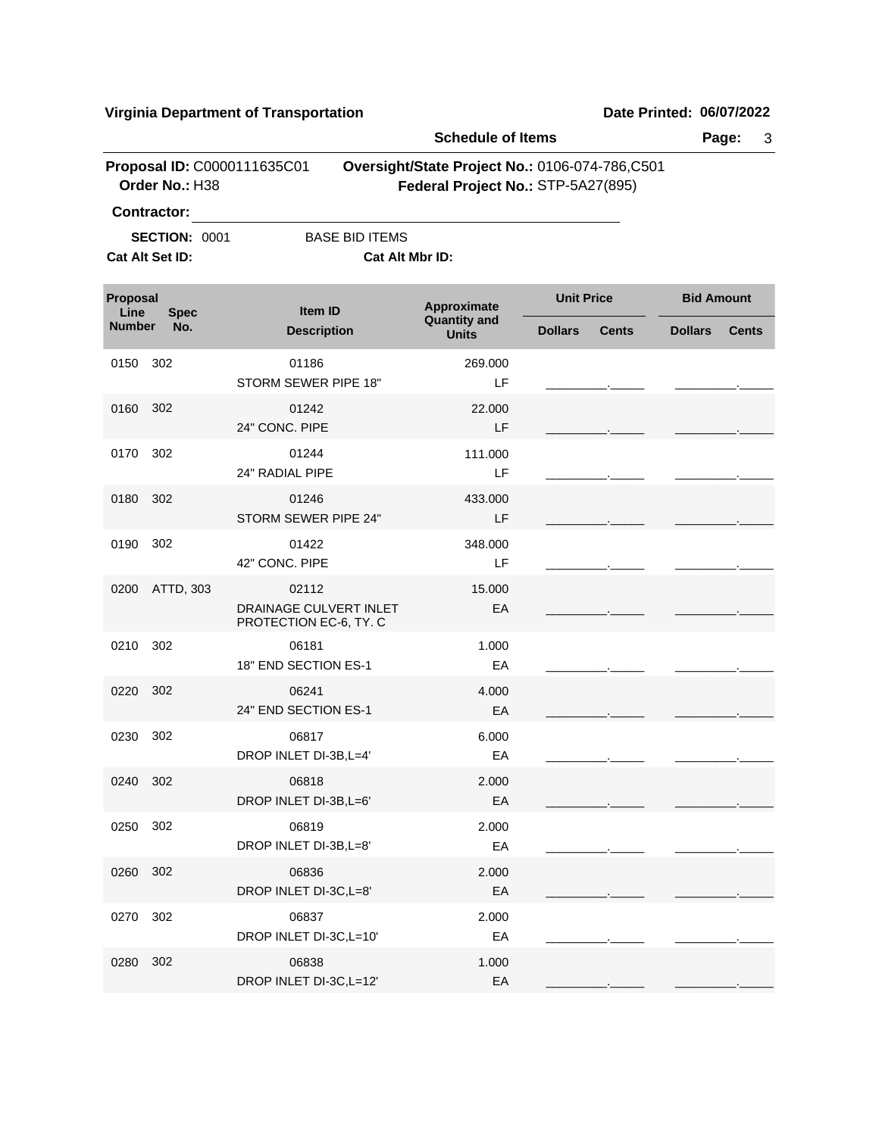|                                 |                                               |                                                           | <b>Schedule of Items</b>            |                                                                                      |                                |  |
|---------------------------------|-----------------------------------------------|-----------------------------------------------------------|-------------------------------------|--------------------------------------------------------------------------------------|--------------------------------|--|
|                                 | Proposal ID: C0000111635C01<br>Order No.: H38 |                                                           |                                     | Oversight/State Project No.: 0106-074-786,C501<br>Federal Project No.: STP-5A27(895) |                                |  |
|                                 | <b>Contractor:</b>                            |                                                           |                                     |                                                                                      |                                |  |
|                                 | <b>SECTION: 0001</b>                          | <b>BASE BID ITEMS</b>                                     |                                     |                                                                                      |                                |  |
|                                 | Cat Alt Set ID:                               | Cat Alt Mbr ID:                                           |                                     |                                                                                      |                                |  |
| Proposal<br>Line<br><b>Spec</b> |                                               | <b>Item ID</b>                                            | Approximate                         | <b>Unit Price</b>                                                                    | <b>Bid Amount</b>              |  |
| <b>Number</b>                   | No.                                           | <b>Description</b>                                        | <b>Quantity and</b><br><b>Units</b> | <b>Dollars</b><br><b>Cents</b>                                                       | <b>Dollars</b><br><b>Cents</b> |  |
| 0150                            | 302                                           | 01186<br>STORM SEWER PIPE 18"                             | 269.000<br>LF                       |                                                                                      |                                |  |
| 0160                            | 302                                           | 01242<br>24" CONC. PIPE                                   | 22.000<br>LF                        |                                                                                      |                                |  |
| 0170                            | 302                                           | 01244<br>24" RADIAL PIPE                                  | 111.000<br>LF                       |                                                                                      |                                |  |
| 0180                            | 302                                           | 01246<br>STORM SEWER PIPE 24"                             | 433.000<br>LF                       |                                                                                      |                                |  |
| 0190                            | 302                                           | 01422<br>42" CONC. PIPE                                   | 348.000<br>LF                       |                                                                                      |                                |  |
| 0200                            | ATTD, 303                                     | 02112<br>DRAINAGE CULVERT INLET<br>PROTECTION EC-6, TY. C | 15.000<br>EA                        |                                                                                      |                                |  |
| 0210                            | 302                                           | 06181<br>18" END SECTION ES-1                             | 1.000<br>EA                         |                                                                                      |                                |  |
| 0220                            | 302                                           | 06241<br>24" END SECTION ES-1                             | 4.000<br>EA                         |                                                                                      |                                |  |
| 0230                            | 302                                           | 06817<br>DROP INLET DI-3B, L=4'                           | 6.000<br>EA                         |                                                                                      |                                |  |
| 0240 302                        |                                               | 06818<br>DROP INLET DI-3B, L=6'                           | 2.000<br>EA                         |                                                                                      |                                |  |
| 0250                            | 302                                           | 06819<br>DROP INLET DI-3B, L=8'                           | 2.000<br>EA                         |                                                                                      |                                |  |
| 0260                            | 302                                           | 06836<br>DROP INLET DI-3C,L=8'                            | 2.000<br>EA                         |                                                                                      |                                |  |
| 0270                            | 302                                           | 06837<br>DROP INLET DI-3C,L=10'                           | 2.000<br>EA                         |                                                                                      |                                |  |
| 0280                            | 302                                           | 06838<br>DROP INLET DI-3C,L=12'                           | 1.000<br>EA                         |                                                                                      |                                |  |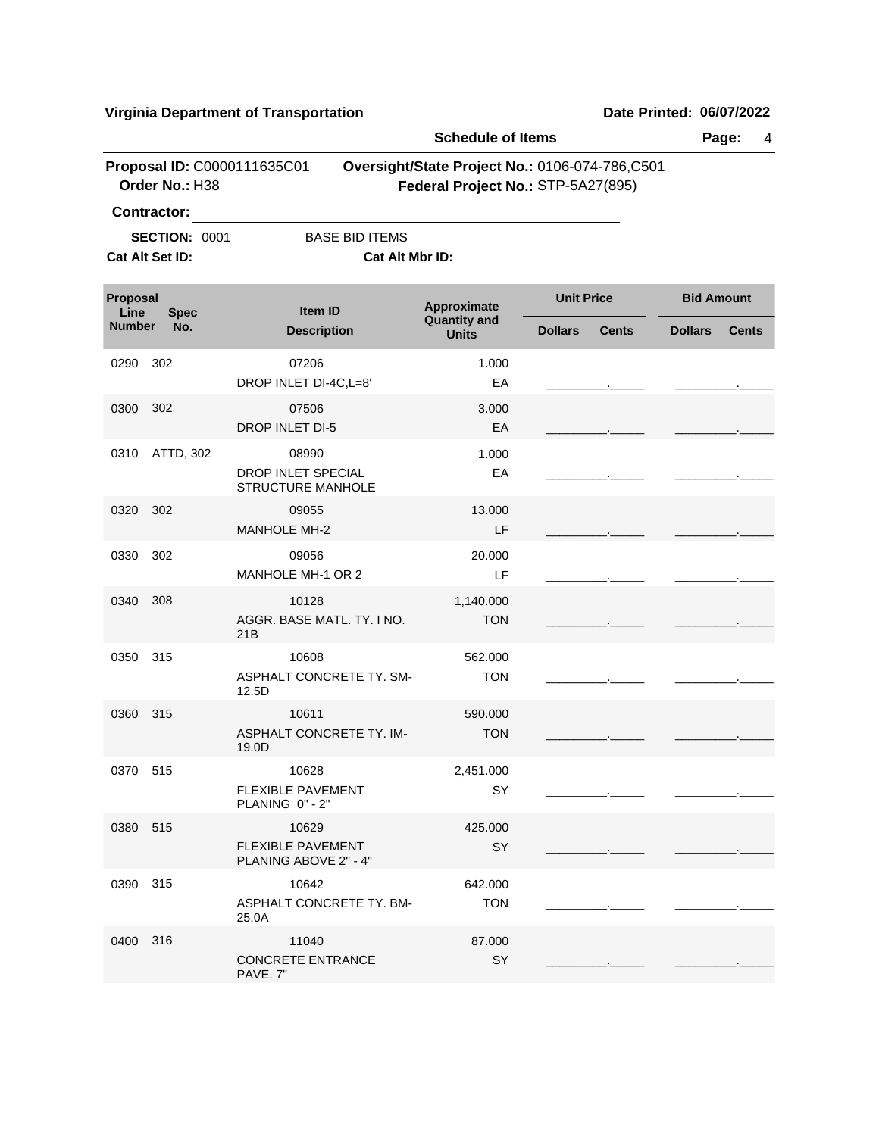|                                 |                                               |                                                            | <b>Schedule of Items</b>                                |                                                                                      |                |                   |  |
|---------------------------------|-----------------------------------------------|------------------------------------------------------------|---------------------------------------------------------|--------------------------------------------------------------------------------------|----------------|-------------------|--|
|                                 | Proposal ID: C0000111635C01<br>Order No.: H38 |                                                            |                                                         | Oversight/State Project No.: 0106-074-786,C501<br>Federal Project No.: STP-5A27(895) |                |                   |  |
|                                 | Contractor:                                   |                                                            |                                                         |                                                                                      |                |                   |  |
|                                 | <b>SECTION: 0001</b>                          | <b>BASE BID ITEMS</b>                                      |                                                         |                                                                                      |                |                   |  |
|                                 | Cat Alt Set ID:                               | Cat Alt Mbr ID:                                            |                                                         |                                                                                      |                |                   |  |
| Proposal<br>Line<br><b>Spec</b> |                                               | <b>Item ID</b>                                             | <b>Unit Price</b><br>Approximate<br><b>Quantity and</b> |                                                                                      |                | <b>Bid Amount</b> |  |
| <b>Number</b>                   | No.                                           | <b>Description</b>                                         | <b>Units</b>                                            | <b>Dollars</b><br><b>Cents</b>                                                       | <b>Dollars</b> | <b>Cents</b>      |  |
| 0290                            | 302                                           | 07206<br>DROP INLET DI-4C, L=8'                            | 1.000<br>EA                                             |                                                                                      |                |                   |  |
| 0300                            | 302                                           | 07506<br><b>DROP INLET DI-5</b>                            | 3.000<br>EA                                             |                                                                                      |                |                   |  |
| 0310                            | ATTD, 302                                     | 08990<br>DROP INLET SPECIAL<br><b>STRUCTURE MANHOLE</b>    | 1.000<br>EA                                             |                                                                                      |                |                   |  |
| 0320                            | 302                                           | 09055<br>MANHOLE MH-2                                      | 13.000<br>LF                                            |                                                                                      |                |                   |  |
| 0330                            | 302                                           | 09056<br>MANHOLE MH-1 OR 2                                 | 20.000<br>LF                                            |                                                                                      |                |                   |  |
| 0340                            | 308                                           | 10128<br>AGGR. BASE MATL. TY. I NO.<br>21B                 | 1,140.000<br><b>TON</b>                                 |                                                                                      |                |                   |  |
| 0350                            | 315                                           | 10608<br>ASPHALT CONCRETE TY. SM-<br>12.5D                 | 562.000<br><b>TON</b>                                   |                                                                                      |                |                   |  |
| 0360                            | 315                                           | 10611<br>ASPHALT CONCRETE TY. IM-<br>19.0D                 | 590.000<br><b>TON</b>                                   |                                                                                      |                |                   |  |
| 0370 515                        |                                               | 10628<br><b>FLEXIBLE PAVEMENT</b><br>PLANING 0" - 2"       | 2,451.000<br><b>SY</b>                                  |                                                                                      |                |                   |  |
| 0380 515                        |                                               | 10629<br><b>FLEXIBLE PAVEMENT</b><br>PLANING ABOVE 2" - 4" | 425.000<br>SY                                           |                                                                                      |                |                   |  |
| 0390                            | 315                                           | 10642<br>ASPHALT CONCRETE TY. BM-<br>25.0A                 | 642.000<br><b>TON</b>                                   |                                                                                      |                |                   |  |
| 0400 316                        |                                               | 11040<br><b>CONCRETE ENTRANCE</b><br>PAVE. 7"              | 87.000<br>SY                                            |                                                                                      |                |                   |  |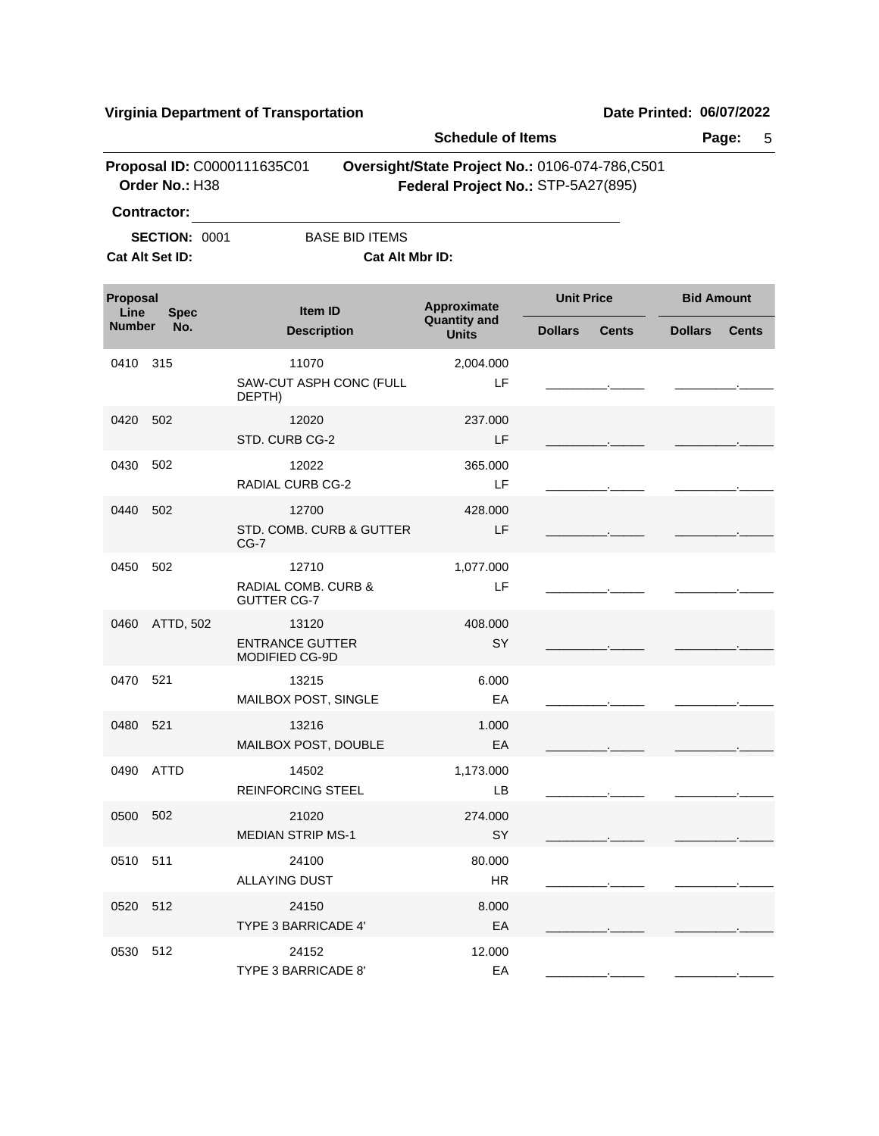|                  |                                               |                                                    | <b>Schedule of Items</b>                                                             |                   |              |                   | Page:<br>5   |  |
|------------------|-----------------------------------------------|----------------------------------------------------|--------------------------------------------------------------------------------------|-------------------|--------------|-------------------|--------------|--|
|                  | Proposal ID: C0000111635C01<br>Order No.: H38 |                                                    | Oversight/State Project No.: 0106-074-786,C501<br>Federal Project No.: STP-5A27(895) |                   |              |                   |              |  |
|                  | <b>Contractor:</b>                            |                                                    |                                                                                      |                   |              |                   |              |  |
|                  | <b>SECTION: 0001</b><br>Cat Alt Set ID:       | <b>BASE BID ITEMS</b><br>Cat Alt Mbr ID:           |                                                                                      |                   |              |                   |              |  |
| Proposal<br>Line | <b>Spec</b>                                   | Item ID                                            | Approximate                                                                          | <b>Unit Price</b> |              | <b>Bid Amount</b> |              |  |
| <b>Number</b>    | No.                                           | <b>Description</b>                                 | <b>Quantity and</b><br><b>Units</b>                                                  | <b>Dollars</b>    | <b>Cents</b> | <b>Dollars</b>    | <b>Cents</b> |  |
| 0410             | 315                                           | 11070<br>SAW-CUT ASPH CONC (FULL<br>DEPTH)         | 2,004.000<br>LF                                                                      |                   |              |                   |              |  |
| 0420             | 502                                           | 12020<br>STD. CURB CG-2                            | 237.000<br>LF                                                                        |                   |              |                   |              |  |
| 0430             | 502                                           | 12022<br><b>RADIAL CURB CG-2</b>                   | 365,000<br>LF                                                                        |                   |              |                   |              |  |
| 0440             | 502                                           | 12700<br>STD, COMB, CURB & GUTTER<br>$CG-7$        | 428,000<br>LF.                                                                       |                   |              |                   |              |  |
| 0450             | 502                                           | 12710<br>RADIAL COMB. CURB &<br><b>GUTTER CG-7</b> | 1,077.000<br>LF                                                                      |                   |              |                   |              |  |
| 0460             | ATTD, 502                                     | 13120<br><b>ENTRANCE GUTTER</b><br>MODIFIED CG-9D  | 408.000<br>SY                                                                        |                   |              |                   |              |  |
| 0470             | 521                                           | 13215<br>MAILBOX POST, SINGLE                      | 6.000<br>EA                                                                          |                   |              |                   |              |  |
| 0480             | 521                                           | 13216<br>MAILBOX POST, DOUBLE                      | 1.000<br>EA                                                                          |                   |              |                   |              |  |
|                  | 0490 ATTD                                     | 14502<br><b>REINFORCING STEEL</b>                  | 1,173.000<br>LB                                                                      |                   |              |                   |              |  |
| 0500 502         |                                               | 21020<br><b>MEDIAN STRIP MS-1</b>                  | 274.000<br>SY                                                                        |                   |              |                   |              |  |
| 0510             | 511                                           | 24100<br><b>ALLAYING DUST</b>                      | 80.000<br>HR                                                                         |                   |              |                   |              |  |
| 0520             | -512                                          | 24150<br><b>TYPE 3 BARRICADE 4'</b>                | 8.000<br>EA                                                                          |                   |              |                   |              |  |
| 0530             | 512                                           | 24152<br>TYPE 3 BARRICADE 8'                       | 12.000<br>EA                                                                         |                   |              |                   |              |  |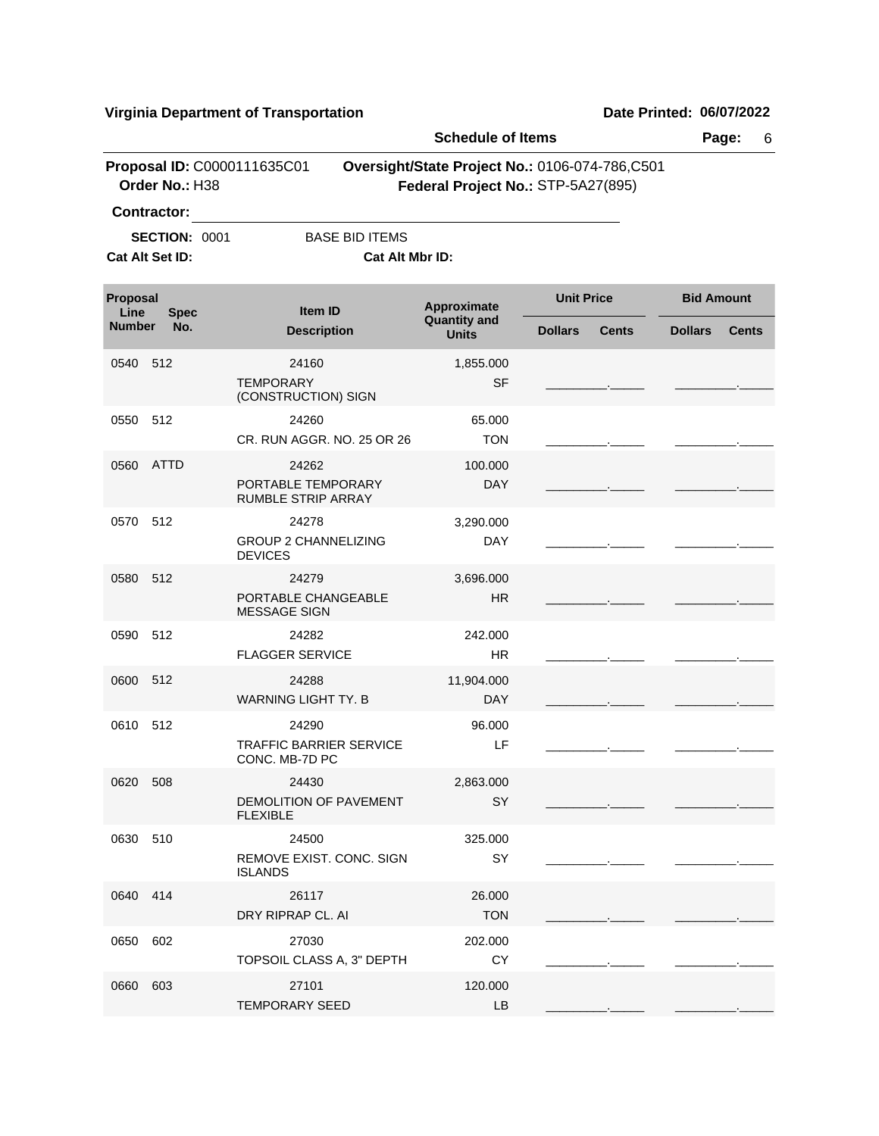|                                         |                    |                                                           | <b>Schedule of Items</b>                                                             |                |                   |                | Page:<br>6        |  |
|-----------------------------------------|--------------------|-----------------------------------------------------------|--------------------------------------------------------------------------------------|----------------|-------------------|----------------|-------------------|--|
|                                         | Order No.: H38     | Proposal ID: C0000111635C01                               | Oversight/State Project No.: 0106-074-786,C501<br>Federal Project No.: STP-5A27(895) |                |                   |                |                   |  |
|                                         | <b>Contractor:</b> |                                                           |                                                                                      |                |                   |                |                   |  |
| <b>SECTION: 0001</b><br>Cat Alt Set ID: |                    | <b>BASE BID ITEMS</b>                                     | <b>Cat Alt Mbr ID:</b>                                                               |                |                   |                |                   |  |
| Proposal<br>Line<br><b>Spec</b>         |                    | Item ID                                                   | Approximate                                                                          |                | <b>Unit Price</b> |                | <b>Bid Amount</b> |  |
| <b>Number</b>                           | No.                | <b>Description</b>                                        | <b>Quantity and</b><br><b>Units</b>                                                  | <b>Dollars</b> | <b>Cents</b>      | <b>Dollars</b> | <b>Cents</b>      |  |
| 0540 512                                |                    | 24160<br><b>TEMPORARY</b><br>(CONSTRUCTION) SIGN          | 1,855.000<br><b>SF</b>                                                               |                |                   |                |                   |  |
| 0550 512                                |                    | 24260<br>CR. RUN AGGR. NO. 25 OR 26                       | 65.000<br><b>TON</b>                                                                 |                |                   |                |                   |  |
| 0560                                    | ATTD               | 24262<br>PORTABLE TEMPORARY<br>RUMBLE STRIP ARRAY         | 100.000<br><b>DAY</b>                                                                |                |                   |                |                   |  |
| 0570 512                                |                    | 24278<br><b>GROUP 2 CHANNELIZING</b><br><b>DEVICES</b>    | 3,290.000<br><b>DAY</b>                                                              |                |                   |                |                   |  |
| 0580 512                                |                    | 24279<br>PORTABLE CHANGEABLE<br><b>MESSAGE SIGN</b>       | 3,696.000<br><b>HR</b>                                                               |                |                   |                |                   |  |
| 0590                                    | 512                | 24282<br><b>FLAGGER SERVICE</b>                           | 242.000<br>HR.                                                                       |                |                   |                |                   |  |
| 0600 512                                |                    | 24288<br><b>WARNING LIGHT TY, B</b>                       | 11,904.000<br><b>DAY</b>                                                             |                |                   |                |                   |  |
| 0610 512                                |                    | 24290<br><b>TRAFFIC BARRIER SERVICE</b><br>CONC. MB-7D PC | 96.000<br>LF                                                                         |                |                   |                |                   |  |
| 0620 508                                |                    | 24430<br><b>DEMOLITION OF PAVEMENT</b><br><b>FLEXIBLE</b> | 2,863.000<br>SY                                                                      |                |                   |                |                   |  |
| 0630 510                                |                    | 24500<br>REMOVE EXIST. CONC. SIGN<br><b>ISLANDS</b>       | 325.000<br>SY                                                                        |                |                   |                |                   |  |
| 0640 414                                |                    | 26117<br>DRY RIPRAP CL. AI                                | 26.000<br><b>TON</b>                                                                 |                |                   |                |                   |  |
| 0650                                    | 602                | 27030<br>TOPSOIL CLASS A, 3" DEPTH                        | 202.000<br><b>CY</b>                                                                 |                |                   |                |                   |  |
| 0660 603                                |                    | 27101<br><b>TEMPORARY SEED</b>                            | 120.000<br>LB                                                                        |                |                   |                |                   |  |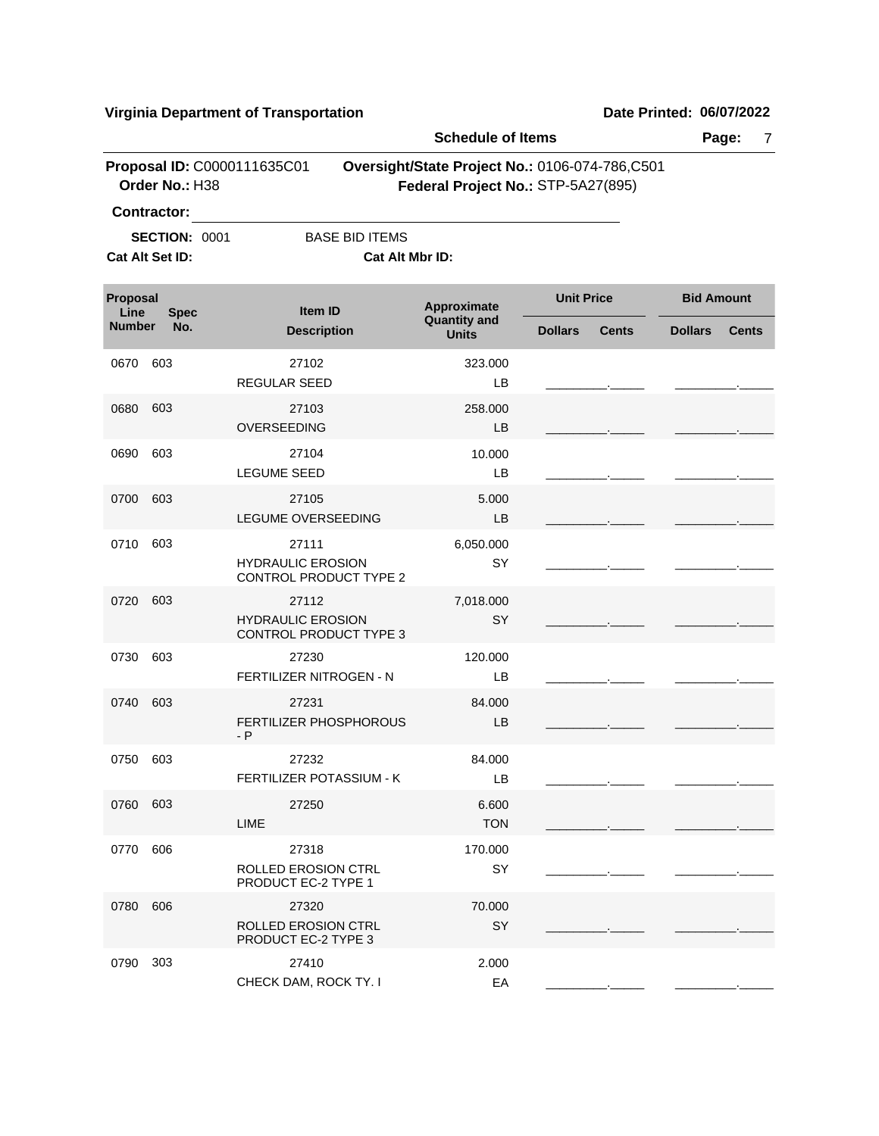|                  |                                               |                                                                    | <b>Schedule of Items</b>                                                             |                   |              |                   | Page:<br>7   |  |  |
|------------------|-----------------------------------------------|--------------------------------------------------------------------|--------------------------------------------------------------------------------------|-------------------|--------------|-------------------|--------------|--|--|
|                  | Proposal ID: C0000111635C01<br>Order No.: H38 |                                                                    | Oversight/State Project No.: 0106-074-786,C501<br>Federal Project No.: STP-5A27(895) |                   |              |                   |              |  |  |
|                  | Contractor:                                   |                                                                    |                                                                                      |                   |              |                   |              |  |  |
|                  | <b>SECTION: 0001</b>                          | <b>BASE BID ITEMS</b>                                              |                                                                                      |                   |              |                   |              |  |  |
| Cat Alt Set ID:  |                                               | Cat Alt Mbr ID:                                                    |                                                                                      |                   |              |                   |              |  |  |
| Proposal<br>Line | <b>Spec</b>                                   | Item ID                                                            | Approximate<br><b>Quantity and</b>                                                   | <b>Unit Price</b> |              | <b>Bid Amount</b> |              |  |  |
| <b>Number</b>    | No.                                           | <b>Description</b>                                                 | <b>Units</b>                                                                         | <b>Dollars</b>    | <b>Cents</b> | <b>Dollars</b>    | <b>Cents</b> |  |  |
| 0670             | 603                                           | 27102<br><b>REGULAR SEED</b>                                       | 323.000<br>LВ                                                                        |                   |              |                   |              |  |  |
| 0680             | 603                                           | 27103<br>OVERSEEDING                                               | 258.000<br>LB                                                                        |                   |              |                   |              |  |  |
| 0690             | 603                                           | 27104<br><b>LEGUME SEED</b>                                        | 10.000<br>LB                                                                         |                   |              |                   |              |  |  |
| 0700             | 603                                           | 27105<br>LEGUME OVERSEEDING                                        | 5.000<br>LB                                                                          |                   |              |                   |              |  |  |
| 0710             | 603                                           | 27111<br><b>HYDRAULIC EROSION</b><br><b>CONTROL PRODUCT TYPE 2</b> | 6,050.000<br>SY                                                                      |                   |              |                   |              |  |  |
| 0720             | 603                                           | 27112<br><b>HYDRAULIC EROSION</b><br><b>CONTROL PRODUCT TYPE 3</b> | 7,018.000<br>SY                                                                      |                   |              |                   |              |  |  |
| 0730             | 603                                           | 27230<br>FERTILIZER NITROGEN - N                                   | 120.000<br>LВ                                                                        |                   |              |                   |              |  |  |
| 0740             | 603                                           | 27231<br>FERTILIZER PHOSPHOROUS<br>$- P$                           | 84.000<br>LB                                                                         |                   |              |                   |              |  |  |
| 0750             | 603                                           | 27232<br>FERTILIZER POTASSIUM - K                                  | 84.000<br>LB                                                                         |                   |              |                   |              |  |  |
| 0760 603         |                                               | 27250<br><b>LIME</b>                                               | 6.600<br><b>TON</b>                                                                  |                   |              |                   |              |  |  |
| 0770             | 606                                           | 27318<br>ROLLED EROSION CTRL<br>PRODUCT EC-2 TYPE 1                | 170.000<br>SY                                                                        |                   |              |                   |              |  |  |
| 0780             | 606                                           | 27320<br><b>ROLLED EROSION CTRL</b><br>PRODUCT EC-2 TYPE 3         | 70.000<br>SY                                                                         |                   |              |                   |              |  |  |
| 0790             | 303                                           | 27410<br>CHECK DAM, ROCK TY. I                                     | 2.000<br>EA                                                                          |                   |              |                   |              |  |  |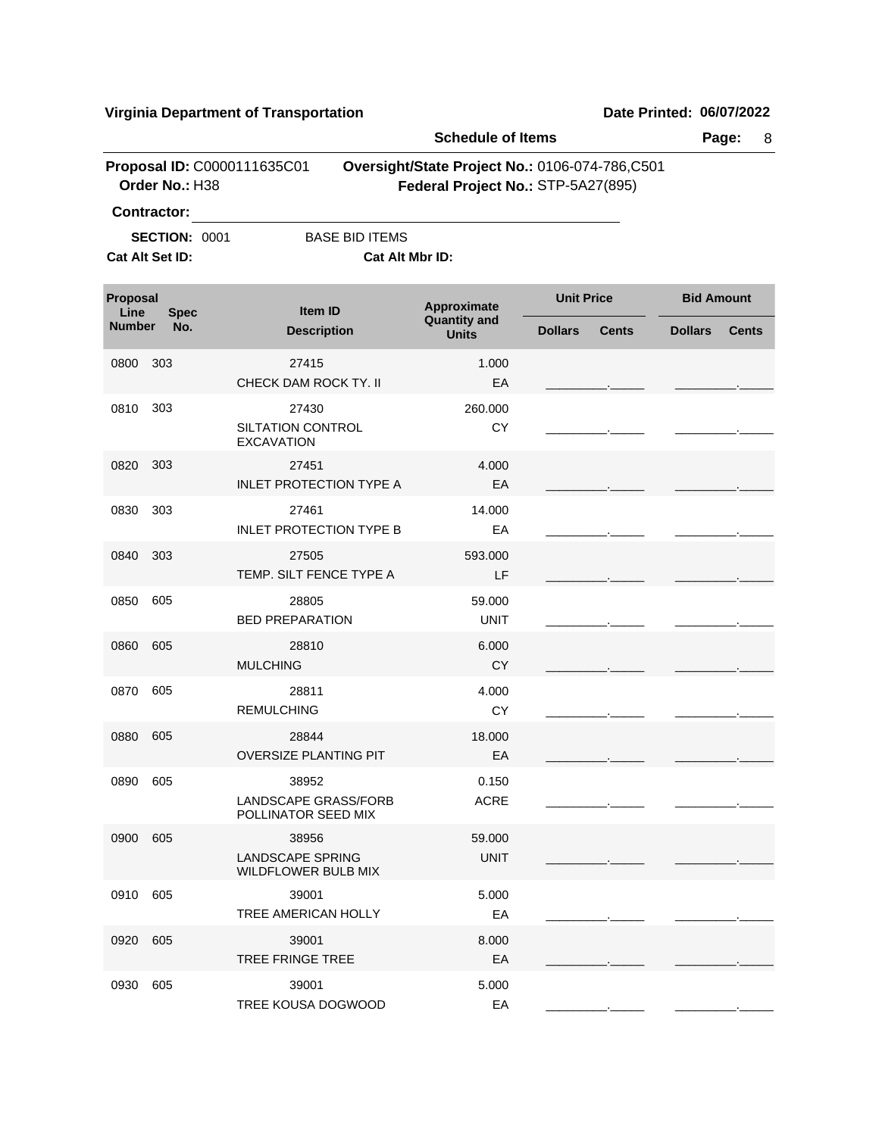|                  |                                               |                                                         | <b>Schedule of Items</b>           |                                                                                      | Page:<br>8                     |
|------------------|-----------------------------------------------|---------------------------------------------------------|------------------------------------|--------------------------------------------------------------------------------------|--------------------------------|
|                  | Proposal ID: C0000111635C01<br>Order No.: H38 |                                                         |                                    | Oversight/State Project No.: 0106-074-786,C501<br>Federal Project No.: STP-5A27(895) |                                |
|                  | <b>Contractor:</b>                            |                                                         |                                    |                                                                                      |                                |
|                  | <b>SECTION: 0001</b>                          | <b>BASE BID ITEMS</b>                                   |                                    |                                                                                      |                                |
|                  | Cat Alt Set ID:                               | Cat Alt Mbr ID:                                         |                                    |                                                                                      |                                |
| Proposal<br>Line | <b>Spec</b>                                   | Item ID                                                 | Approximate<br><b>Quantity and</b> | <b>Unit Price</b>                                                                    | <b>Bid Amount</b>              |
| <b>Number</b>    | No.                                           | <b>Description</b>                                      | <b>Units</b>                       | <b>Dollars</b><br><b>Cents</b>                                                       | <b>Dollars</b><br><b>Cents</b> |
| 0800             | 303                                           | 27415<br>CHECK DAM ROCK TY. II                          | 1.000<br>EA                        |                                                                                      |                                |
| 0810             | 303                                           | 27430                                                   | 260.000                            |                                                                                      |                                |
|                  |                                               | SILTATION CONTROL<br><b>EXCAVATION</b>                  | CY                                 |                                                                                      |                                |
| 0820             | 303                                           | 27451                                                   | 4.000                              |                                                                                      |                                |
|                  |                                               | <b>INLET PROTECTION TYPE A</b>                          | EA                                 |                                                                                      |                                |
| 0830             | 303                                           | 27461<br><b>INLET PROTECTION TYPE B</b>                 | 14.000<br>EA                       |                                                                                      |                                |
| 0840             | 303                                           | 27505<br>TEMP. SILT FENCE TYPE A                        | 593.000<br>LF                      |                                                                                      |                                |
| 0850             | 605                                           | 28805<br><b>BED PREPARATION</b>                         | 59.000<br><b>UNIT</b>              |                                                                                      |                                |
| 0860             | 605                                           | 28810<br><b>MULCHING</b>                                | 6.000<br><b>CY</b>                 |                                                                                      |                                |
| 0870             | 605                                           | 28811<br><b>REMULCHING</b>                              | 4.000<br>CY                        |                                                                                      |                                |
| 0880             | 605                                           | 28844<br><b>OVERSIZE PLANTING PIT</b>                   | 18.000<br>EA                       |                                                                                      |                                |
| 0890             | 605                                           | 38952<br>LANDSCAPE GRASS/FORB<br>POLLINATOR SEED MIX    | 0.150<br><b>ACRE</b>               |                                                                                      |                                |
| 0900             | 605                                           | 38956<br>LANDSCAPE SPRING<br><b>WILDFLOWER BULB MIX</b> | 59.000<br><b>UNIT</b>              |                                                                                      |                                |
| 0910             | 605                                           | 39001<br>TREE AMERICAN HOLLY                            | 5.000<br>EA                        |                                                                                      |                                |
| 0920             | 605                                           | 39001<br><b>TREE FRINGE TREE</b>                        | 8.000<br>EA                        |                                                                                      |                                |
| 0930             | 605                                           | 39001<br>TREE KOUSA DOGWOOD                             | 5.000<br>EA                        |                                                                                      |                                |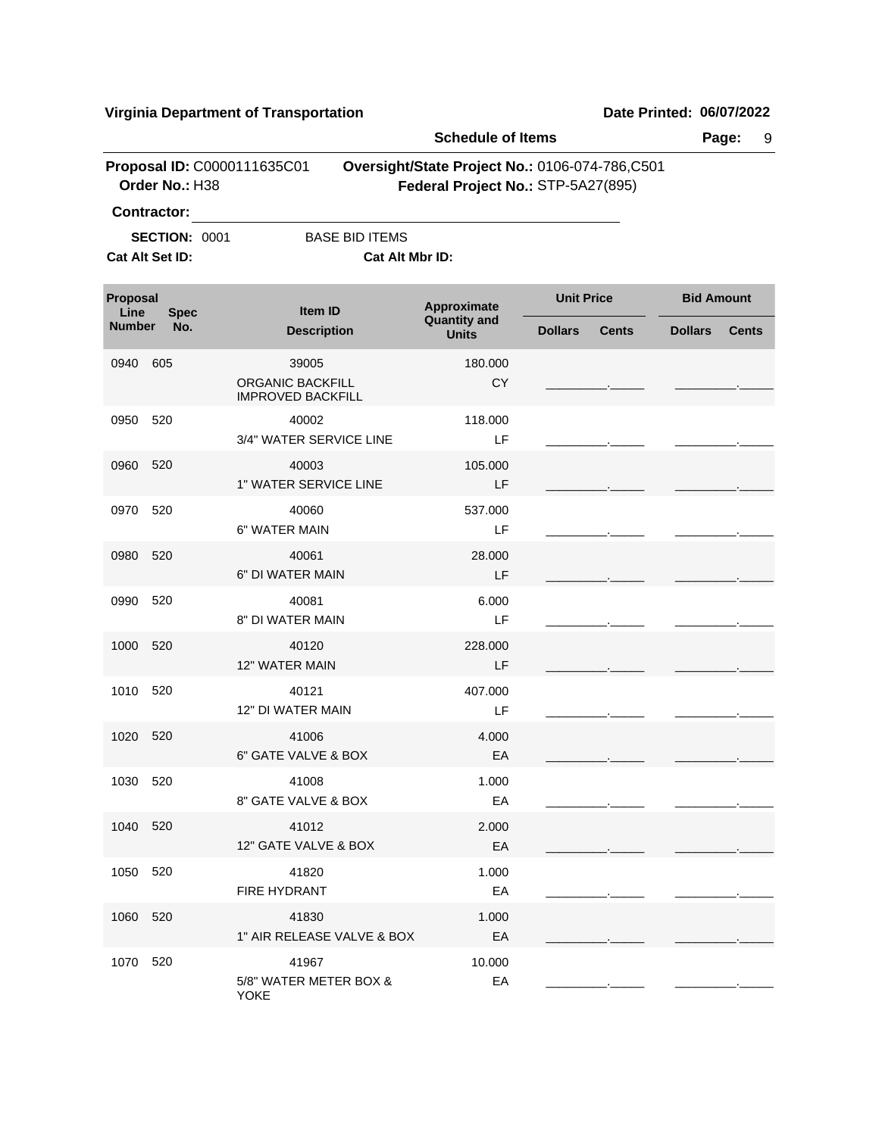|                  |                                         |                                                       | <b>Schedule of Items</b>                                                             | Page:<br>9     |              |                   |              |
|------------------|-----------------------------------------|-------------------------------------------------------|--------------------------------------------------------------------------------------|----------------|--------------|-------------------|--------------|
|                  | Order No.: H38                          | Proposal ID: C0000111635C01                           | Oversight/State Project No.: 0106-074-786,C501<br>Federal Project No.: STP-5A27(895) |                |              |                   |              |
|                  | <b>Contractor:</b>                      |                                                       |                                                                                      |                |              |                   |              |
|                  | <b>SECTION: 0001</b><br>Cat Alt Set ID: | <b>BASE BID ITEMS</b>                                 | Cat Alt Mbr ID:                                                                      |                |              |                   |              |
| Proposal<br>Line | <b>Spec</b>                             | Item ID                                               | <b>Unit Price</b><br>Approximate                                                     |                |              | <b>Bid Amount</b> |              |
| <b>Number</b>    | No.                                     | <b>Description</b>                                    | <b>Quantity and</b><br><b>Units</b>                                                  | <b>Dollars</b> | <b>Cents</b> | <b>Dollars</b>    | <b>Cents</b> |
| 0940             | 605                                     | 39005<br>ORGANIC BACKFILL<br><b>IMPROVED BACKFILL</b> | 180.000<br><b>CY</b>                                                                 |                |              |                   |              |
| 0950             | 520                                     | 40002<br>3/4" WATER SERVICE LINE                      | 118,000<br>LF                                                                        |                |              |                   |              |
| 0960             | 520                                     | 40003<br>1" WATER SERVICE LINE                        | 105.000<br>LF                                                                        |                |              |                   |              |
| 0970             | 520                                     | 40060<br>6" WATER MAIN                                | 537.000<br>LF                                                                        |                |              |                   |              |
| 0980             | 520                                     | 40061<br>6" DI WATER MAIN                             | 28.000<br>LF                                                                         |                |              |                   |              |
| 0990             | 520                                     | 40081<br>8" DI WATER MAIN                             | 6.000<br>LF                                                                          |                |              |                   |              |
| 1000             | 520                                     | 40120<br><b>12" WATER MAIN</b>                        | 228.000<br>LF                                                                        |                |              |                   |              |
| 1010             | 520                                     | 40121<br>12" DI WATER MAIN                            | 407.000<br>LF                                                                        |                |              |                   |              |
| 1020             | 520                                     | 41006<br>6" GATE VALVE & BOX                          | 4.000<br>EA                                                                          |                |              |                   |              |
| 1030 520         |                                         | 41008<br>8" GATE VALVE & BOX                          | 1.000<br>EA                                                                          |                |              |                   |              |
| 1040 520         |                                         | 41012<br>12" GATE VALVE & BOX                         | 2.000<br>EA                                                                          |                |              |                   |              |
| 1050             | 520                                     | 41820<br>FIRE HYDRANT                                 | 1.000<br>EA                                                                          |                |              |                   |              |
| 1060             | 520                                     | 41830<br>1" AIR RELEASE VALVE & BOX                   | 1.000<br>EA                                                                          |                |              |                   |              |
| 1070             | 520                                     | 41967<br>5/8" WATER METER BOX &<br><b>YOKE</b>        | 10.000<br>EA                                                                         |                |              |                   |              |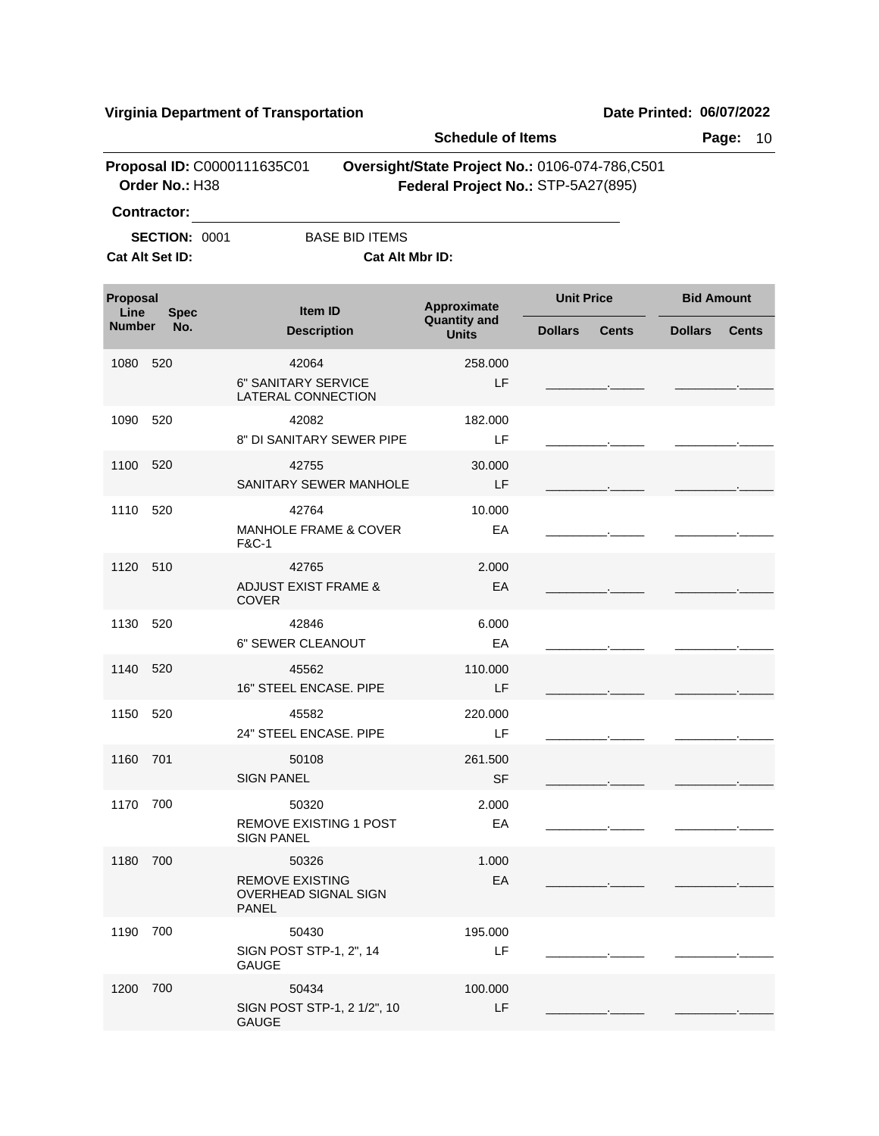| Proposal ID: C0000111635C01<br>Oversight/State Project No.: 0106-074-786,C501<br>Order No.: H38<br>Federal Project No.: STP-5A27(895)<br><b>Contractor:</b><br><b>BASE BID ITEMS</b><br><b>SECTION: 0001</b><br>Cat Alt Set ID:<br>Cat Alt Mbr ID:<br><b>Unit Price</b><br>Proposal<br>Approximate<br>Item ID<br>Line<br><b>Spec</b><br><b>Quantity and</b><br><b>Number</b><br>No.<br><b>Description</b><br><b>Dollars</b><br><b>Dollars</b><br><b>Cents</b><br><b>Units</b><br>1080<br>520<br>42064<br>258.000<br>6" SANITARY SERVICE<br>LF<br>LATERAL CONNECTION<br>1090<br>520<br>42082<br>182.000<br>8" DI SANITARY SEWER PIPE<br>LF<br>1100<br>520<br>42755<br>30.000<br>SANITARY SEWER MANHOLE<br>LF | <b>Bid Amount</b><br><b>Cents</b> |
|-------------------------------------------------------------------------------------------------------------------------------------------------------------------------------------------------------------------------------------------------------------------------------------------------------------------------------------------------------------------------------------------------------------------------------------------------------------------------------------------------------------------------------------------------------------------------------------------------------------------------------------------------------------------------------------------------------------|-----------------------------------|
|                                                                                                                                                                                                                                                                                                                                                                                                                                                                                                                                                                                                                                                                                                             |                                   |
|                                                                                                                                                                                                                                                                                                                                                                                                                                                                                                                                                                                                                                                                                                             |                                   |
|                                                                                                                                                                                                                                                                                                                                                                                                                                                                                                                                                                                                                                                                                                             |                                   |
|                                                                                                                                                                                                                                                                                                                                                                                                                                                                                                                                                                                                                                                                                                             |                                   |
|                                                                                                                                                                                                                                                                                                                                                                                                                                                                                                                                                                                                                                                                                                             |                                   |
|                                                                                                                                                                                                                                                                                                                                                                                                                                                                                                                                                                                                                                                                                                             |                                   |
|                                                                                                                                                                                                                                                                                                                                                                                                                                                                                                                                                                                                                                                                                                             |                                   |
|                                                                                                                                                                                                                                                                                                                                                                                                                                                                                                                                                                                                                                                                                                             |                                   |
| 10.000<br>1110<br>520<br>42764<br><b>MANHOLE FRAME &amp; COVER</b><br>EA<br><b>F&amp;C-1</b>                                                                                                                                                                                                                                                                                                                                                                                                                                                                                                                                                                                                                |                                   |
| 1120<br>510<br>42765<br>2.000<br><b>ADJUST EXIST FRAME &amp;</b><br>EA<br><b>COVER</b>                                                                                                                                                                                                                                                                                                                                                                                                                                                                                                                                                                                                                      |                                   |
| 520<br>1130<br>42846<br>6.000<br>6" SEWER CLEANOUT<br>EA                                                                                                                                                                                                                                                                                                                                                                                                                                                                                                                                                                                                                                                    |                                   |
| 1140<br>520<br>110.000<br>45562<br>16" STEEL ENCASE. PIPE<br>LF                                                                                                                                                                                                                                                                                                                                                                                                                                                                                                                                                                                                                                             |                                   |
| 1150<br>520<br>45582<br>220.000<br>24" STEEL ENCASE. PIPE<br>LF                                                                                                                                                                                                                                                                                                                                                                                                                                                                                                                                                                                                                                             |                                   |
| 261.500<br>1160 701<br>50108<br><b>SF</b><br><b>SIGN PANEL</b>                                                                                                                                                                                                                                                                                                                                                                                                                                                                                                                                                                                                                                              |                                   |
| 700<br>2.000<br>1170<br>50320<br><b>REMOVE EXISTING 1 POST</b><br>EA<br><b>SIGN PANEL</b>                                                                                                                                                                                                                                                                                                                                                                                                                                                                                                                                                                                                                   |                                   |
| 1180<br>700<br>50326<br>1.000<br><b>REMOVE EXISTING</b><br>EA<br>OVERHEAD SIGNAL SIGN<br><b>PANEL</b>                                                                                                                                                                                                                                                                                                                                                                                                                                                                                                                                                                                                       |                                   |
| 700<br>1190<br>50430<br>195.000<br>SIGN POST STP-1, 2", 14<br>LF<br><b>GAUGE</b>                                                                                                                                                                                                                                                                                                                                                                                                                                                                                                                                                                                                                            |                                   |
| 1200<br>700<br>50434<br>100.000<br>SIGN POST STP-1, 2 1/2", 10<br>LF<br><b>GAUGE</b>                                                                                                                                                                                                                                                                                                                                                                                                                                                                                                                                                                                                                        |                                   |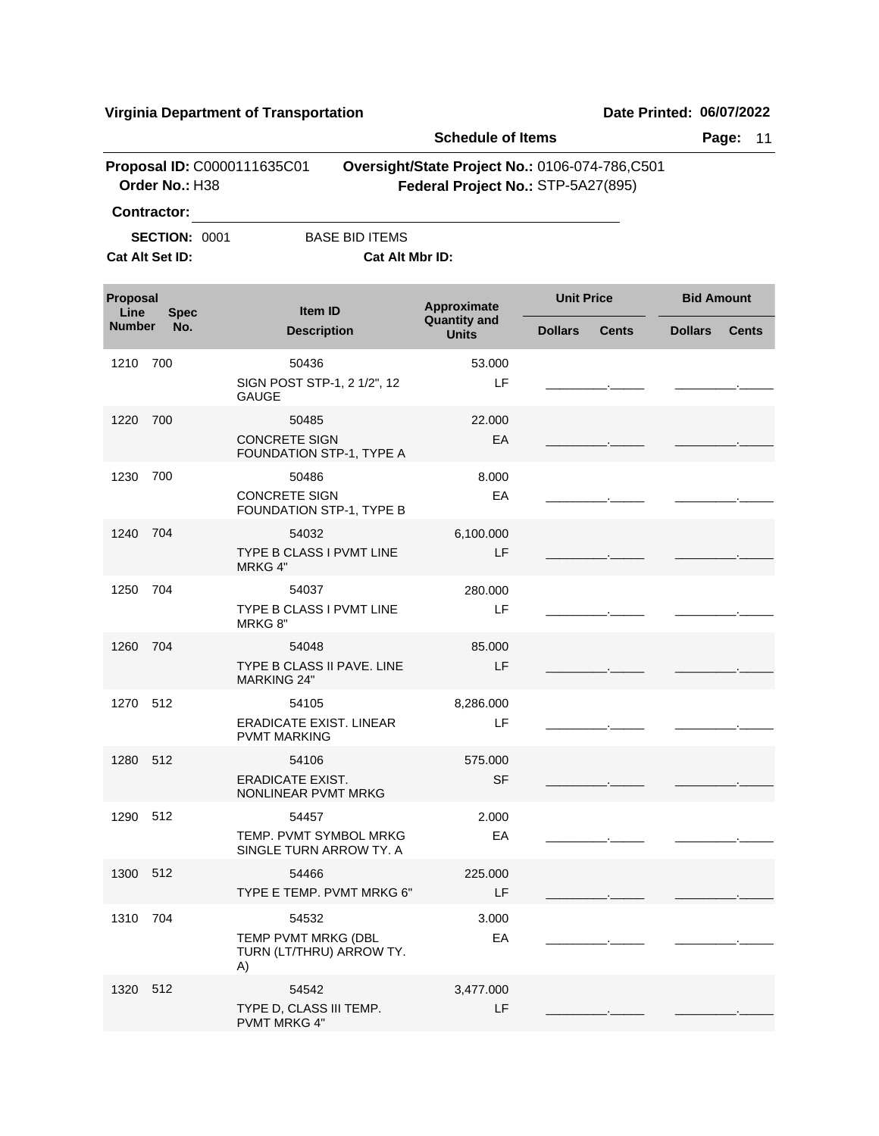|                         |                                         |                                                                | <b>Schedule of Items</b>                                                             |                   |              |                   | Page:<br>11  |
|-------------------------|-----------------------------------------|----------------------------------------------------------------|--------------------------------------------------------------------------------------|-------------------|--------------|-------------------|--------------|
|                         | Order No.: H38<br>Contractor:           | Proposal ID: C0000111635C01                                    | Oversight/State Project No.: 0106-074-786,C501<br>Federal Project No.: STP-5A27(895) |                   |              |                   |              |
|                         | <b>SECTION: 0001</b><br>Cat Alt Set ID: | <b>BASE BID ITEMS</b><br><b>Cat Alt Mbr ID:</b>                |                                                                                      |                   |              |                   |              |
| <b>Proposal</b><br>Line | <b>Spec</b>                             | Item ID                                                        | Approximate                                                                          | <b>Unit Price</b> |              | <b>Bid Amount</b> |              |
| <b>Number</b>           | No.                                     | <b>Description</b>                                             | <b>Quantity and</b><br><b>Units</b>                                                  | <b>Dollars</b>    | <b>Cents</b> | <b>Dollars</b>    | <b>Cents</b> |
| 1210 700                |                                         | 50436<br>SIGN POST STP-1, 2 1/2", 12<br><b>GAUGE</b>           | 53.000<br>LF                                                                         |                   |              |                   |              |
| 1220                    | 700                                     | 50485<br><b>CONCRETE SIGN</b><br>FOUNDATION STP-1, TYPE A      | 22.000<br>EA                                                                         |                   |              |                   |              |
| 1230                    | 700                                     | 50486<br><b>CONCRETE SIGN</b><br>FOUNDATION STP-1, TYPE B      | 8.000<br>EA                                                                          |                   |              |                   |              |
| 1240                    | 704                                     | 54032<br><b>TYPE B CLASS I PVMT LINE</b><br>MRKG 4"            | 6,100.000<br>LF                                                                      |                   |              |                   |              |
| 1250                    | 704                                     | 54037<br>TYPE B CLASS I PVMT LINE<br>MRKG 8"                   | 280.000<br>LF                                                                        |                   |              |                   |              |
| 1260                    | 704                                     | 54048<br>TYPE B CLASS II PAVE, LINE<br><b>MARKING 24"</b>      | 85.000<br>LF                                                                         |                   |              |                   |              |
| 1270                    | 512                                     | 54105<br><b>ERADICATE EXIST. LINEAR</b><br><b>PVMT MARKING</b> | 8,286.000<br>LF                                                                      |                   |              |                   |              |
| 1280 512                |                                         | 54106<br><b>ERADICATE EXIST.</b><br>NONLINEAR PVMT MRKG        | 575.000<br><b>SF</b>                                                                 |                   |              |                   |              |
| 1290 512                |                                         | 54457<br>TEMP. PVMT SYMBOL MRKG<br>SINGLE TURN ARROW TY. A     | 2.000<br>EA                                                                          |                   |              |                   |              |
| 1300 512                |                                         | 54466<br>TYPE E TEMP. PVMT MRKG 6"                             | 225.000<br>LF                                                                        |                   |              |                   |              |
| 1310                    | 704                                     | 54532<br>TEMP PVMT MRKG (DBL<br>TURN (LT/THRU) ARROW TY.<br>A) | 3.000<br>EA                                                                          |                   |              |                   |              |
| 1320 512                |                                         | 54542<br>TYPE D, CLASS III TEMP.<br><b>PVMT MRKG 4"</b>        | 3,477.000<br>LF                                                                      |                   |              |                   |              |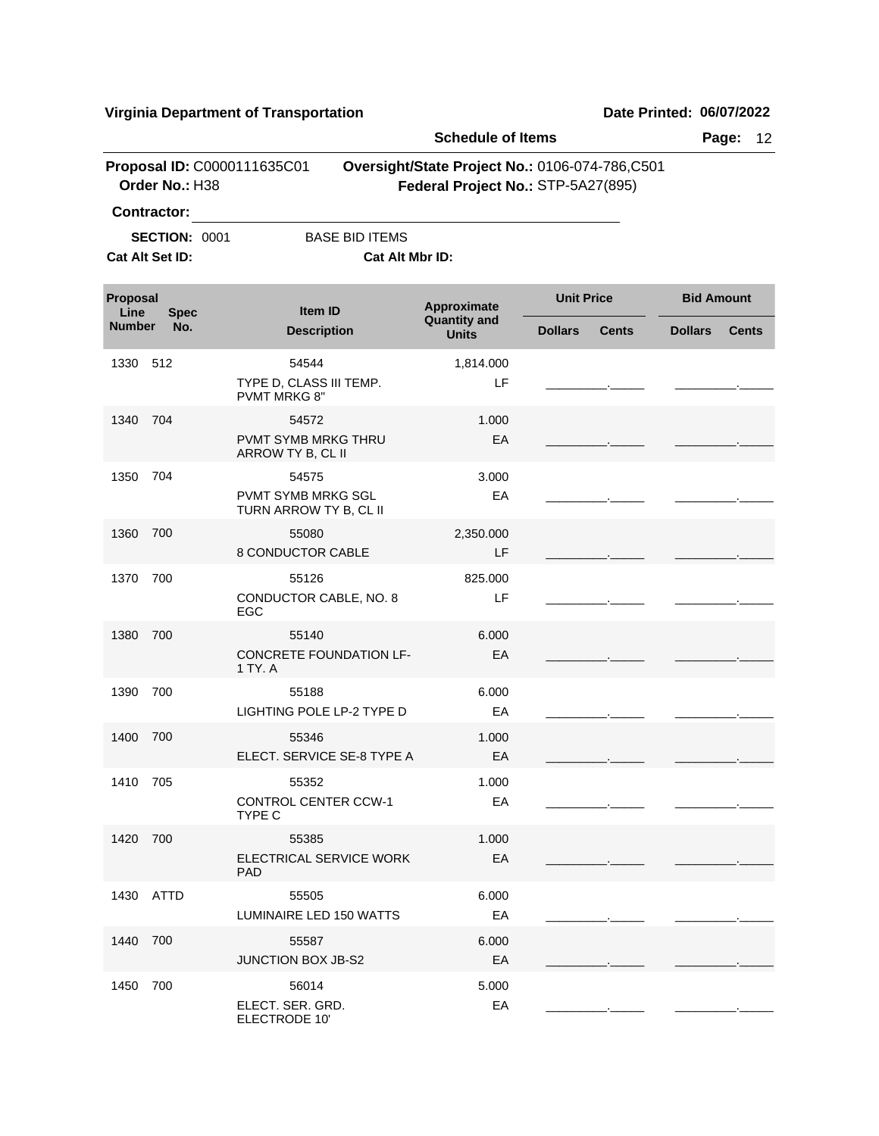ELECTRODE 10'

|                                 |                      |                                                     | <b>Schedule of Items</b>                                                             |                |              |                | Page:<br>12       |  |  |
|---------------------------------|----------------------|-----------------------------------------------------|--------------------------------------------------------------------------------------|----------------|--------------|----------------|-------------------|--|--|
|                                 | Order No.: H38       | Proposal ID: C0000111635C01                         | Oversight/State Project No.: 0106-074-786,C501<br>Federal Project No.: STP-5A27(895) |                |              |                |                   |  |  |
|                                 | <b>Contractor:</b>   |                                                     |                                                                                      |                |              |                |                   |  |  |
|                                 | <b>SECTION: 0001</b> | <b>BASE BID ITEMS</b>                               |                                                                                      |                |              |                |                   |  |  |
|                                 | Cat Alt Set ID:      |                                                     | Cat Alt Mbr ID:                                                                      |                |              |                |                   |  |  |
| Proposal<br>Line<br><b>Spec</b> |                      | Item ID                                             | <b>Unit Price</b><br>Approximate                                                     |                |              |                | <b>Bid Amount</b> |  |  |
| <b>Number</b>                   | No.                  | <b>Description</b>                                  | <b>Quantity and</b><br><b>Units</b>                                                  | <b>Dollars</b> | <b>Cents</b> | <b>Dollars</b> | <b>Cents</b>      |  |  |
| 1330                            | 512                  | 54544                                               | 1,814.000                                                                            |                |              |                |                   |  |  |
|                                 |                      | TYPE D, CLASS III TEMP.<br><b>PVMT MRKG 8"</b>      | LF.                                                                                  |                |              |                |                   |  |  |
| 1340                            | 704                  | 54572                                               | 1.000                                                                                |                |              |                |                   |  |  |
|                                 |                      | <b>PVMT SYMB MRKG THRU</b><br>ARROW TY B, CL II     | EA                                                                                   |                |              |                |                   |  |  |
| 1350                            | 704                  | 54575                                               | 3.000                                                                                |                |              |                |                   |  |  |
|                                 |                      | <b>PVMT SYMB MRKG SGL</b><br>TURN ARROW TY B, CL II | EA                                                                                   |                |              |                |                   |  |  |
| 1360                            | 700                  | 55080                                               | 2,350.000                                                                            |                |              |                |                   |  |  |
|                                 |                      | 8 CONDUCTOR CABLE                                   | LF                                                                                   |                |              |                |                   |  |  |
| 1370                            | 700                  | 55126                                               | 825,000                                                                              |                |              |                |                   |  |  |
|                                 |                      | CONDUCTOR CABLE, NO. 8<br>EGC                       | LF                                                                                   |                |              |                |                   |  |  |
| 1380                            | 700                  | 55140                                               | 6.000                                                                                |                |              |                |                   |  |  |
|                                 |                      | <b>CONCRETE FOUNDATION LF-</b><br>1 TY. A           | EA                                                                                   |                |              |                |                   |  |  |
| 1390                            | 700                  | 55188                                               | 6.000                                                                                |                |              |                |                   |  |  |
|                                 |                      | LIGHTING POLE LP-2 TYPE D                           | EA                                                                                   |                |              |                |                   |  |  |
| 1400                            | 700                  | 55346                                               | 1.000                                                                                |                |              |                |                   |  |  |
|                                 |                      | ELECT. SERVICE SE-8 TYPE A                          | EA                                                                                   |                |              |                |                   |  |  |
| 1410 705                        |                      | 55352                                               | 1.000                                                                                |                |              |                |                   |  |  |
|                                 |                      | <b>CONTROL CENTER CCW-1</b><br>TYPE C               | EA                                                                                   |                |              |                |                   |  |  |
| 1420                            | 700                  | 55385                                               | 1.000                                                                                |                |              |                |                   |  |  |
|                                 |                      | ELECTRICAL SERVICE WORK<br><b>PAD</b>               | EA                                                                                   |                |              |                |                   |  |  |
|                                 | 1430 ATTD            | 55505                                               | 6.000                                                                                |                |              |                |                   |  |  |
|                                 |                      | LUMINAIRE LED 150 WATTS                             | EA                                                                                   |                |              |                |                   |  |  |
| 1440                            | 700                  | 55587                                               | 6.000                                                                                |                |              |                |                   |  |  |
|                                 |                      | <b>JUNCTION BOX JB-S2</b>                           | EA                                                                                   |                |              |                |                   |  |  |
| 1450                            | 700                  | 56014                                               | 5.000                                                                                |                |              |                |                   |  |  |
|                                 |                      | ELECT. SER. GRD.                                    | EA                                                                                   |                |              |                |                   |  |  |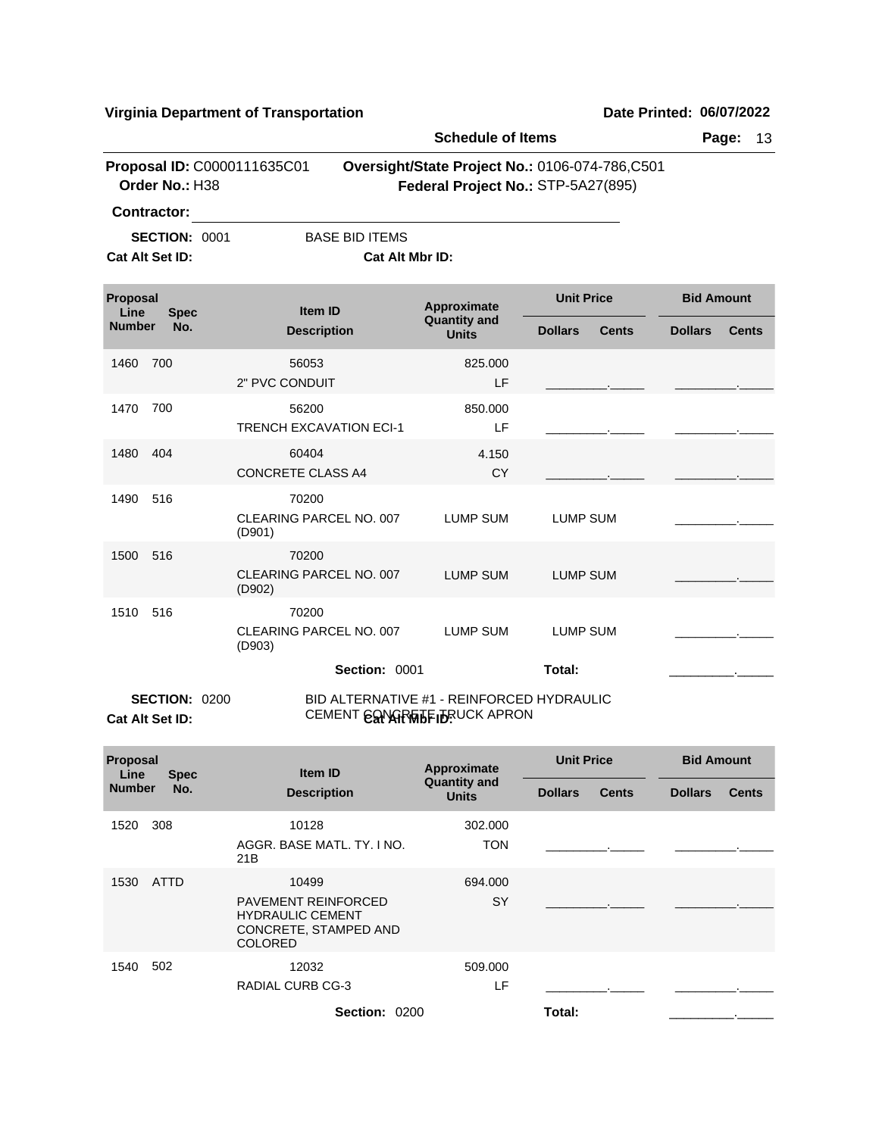|                    |                      | virginia Department or Transportation                                            |                                     |                                                                                      | <b>שמוכ רוווווכט. טטוטוובטבב</b> |
|--------------------|----------------------|----------------------------------------------------------------------------------|-------------------------------------|--------------------------------------------------------------------------------------|----------------------------------|
|                    |                      |                                                                                  | <b>Schedule of Items</b>            |                                                                                      | Page:<br>13                      |
|                    | Order No.: H38       | Proposal ID: C0000111635C01                                                      |                                     | Oversight/State Project No.: 0106-074-786,C501<br>Federal Project No.: STP-5A27(895) |                                  |
| <b>Contractor:</b> |                      |                                                                                  |                                     |                                                                                      |                                  |
| Cat Alt Set ID:    | <b>SECTION: 0001</b> | <b>BASE BID ITEMS</b><br>Cat Alt Mbr ID:                                         |                                     |                                                                                      |                                  |
| Proposal<br>Line   | <b>Spec</b>          | <b>Item ID</b>                                                                   | Approximate                         | <b>Unit Price</b>                                                                    | <b>Bid Amount</b>                |
| <b>Number</b>      | No.                  | <b>Description</b>                                                               | <b>Quantity and</b><br><b>Units</b> | <b>Dollars</b><br><b>Cents</b>                                                       | <b>Dollars</b><br><b>Cents</b>   |
| 1460               | 700                  | 56053<br>2" PVC CONDUIT                                                          | 825.000<br>LF                       |                                                                                      |                                  |
| 1470               | 700                  | 56200<br><b>TRENCH EXCAVATION ECI-1</b>                                          | 850.000<br>LF                       |                                                                                      |                                  |
| 1480               | 404                  | 60404<br><b>CONCRETE CLASS A4</b>                                                | 4.150<br><b>CY</b>                  |                                                                                      |                                  |
| 1490               | 516                  | 70200<br>CLEARING PARCEL NO. 007<br>(D901)                                       | <b>LUMP SUM</b>                     | <b>LUMP SUM</b>                                                                      |                                  |
| 1500               | 516                  | 70200<br>CLEARING PARCEL NO. 007<br>(D902)                                       | <b>LUMP SUM</b>                     | <b>LUMP SUM</b>                                                                      |                                  |
| 1510               | 516                  | 70200<br>CLEARING PARCEL NO. 007<br>(D903)                                       | <b>LUMP SUM</b>                     | <b>LUMP SUM</b>                                                                      |                                  |
|                    |                      | Section: 0001                                                                    |                                     | Total:                                                                               |                                  |
| Cat Alt Set ID:    | <b>SECTION: 0200</b> | BID ALTERNATIVE #1 - REINFORCED HYDRAULIC<br>CEMENT <b>ESPARATE IDEUCK APRON</b> |                                     |                                                                                      |                                  |

| <b>Proposal</b><br>Line | <b>Spec</b><br>No. | Item ID<br><b>Description</b>                                                                             | Approximate<br><b>Quantity and</b><br><b>Units</b> | <b>Unit Price</b> |              | <b>Bid Amount</b> |              |
|-------------------------|--------------------|-----------------------------------------------------------------------------------------------------------|----------------------------------------------------|-------------------|--------------|-------------------|--------------|
| <b>Number</b>           |                    |                                                                                                           |                                                    | <b>Dollars</b>    | <b>Cents</b> | <b>Dollars</b>    | <b>Cents</b> |
| 1520                    | 308                | 10128<br>AGGR, BASE MATL, TY, I NO.<br>21B                                                                | 302.000<br><b>TON</b>                              |                   |              |                   |              |
| 1530                    | <b>ATTD</b>        | 10499<br><b>PAVEMENT REINFORCED</b><br><b>HYDRAULIC CEMENT</b><br>CONCRETE, STAMPED AND<br><b>COLORED</b> | 694.000<br>SY                                      |                   |              |                   |              |
| 1540                    | 502                | 12032<br><b>RADIAL CURB CG-3</b>                                                                          | 509.000<br>LF                                      |                   |              |                   |              |
|                         |                    | Section: 0200                                                                                             |                                                    | Total:            |              |                   | ۰.           |